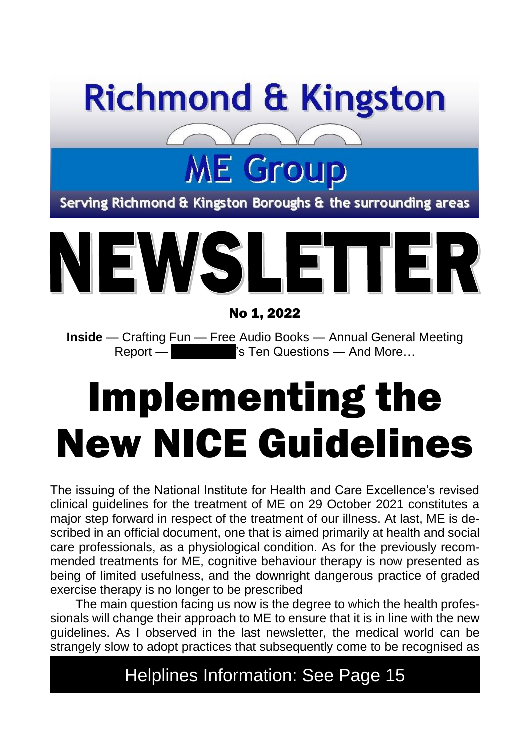

# **ME Group**

Serving Richmond & Kingston Boroughs & the surrounding areas



No 1, 2022

**Inside** — Crafting Fun — Free Audio Books — Annual General Meeting Report — Steven Stephen Guestions — And More…

# Implementing the New NICE Guidelines

The issuing of the National Institute for Health and Care Excellence's revised clinical guidelines for the treatment of ME on 29 October 2021 constitutes a major step forward in respect of the treatment of our illness. At last, ME is described in an official document, one that is aimed primarily at health and social care professionals, as a physiological condition. As for the previously recommended treatments for ME, cognitive behaviour therapy is now presented as being of limited usefulness, and the downright dangerous practice of graded exercise therapy is no longer to be prescribed

The main question facing us now is the degree to which the health professionals will change their approach to ME to ensure that it is in line with the new guidelines. As I observed in the last newsletter, the medical world can be strangely slow to adopt practices that subsequently come to be recognised as

#### Helplines Information: See Page 15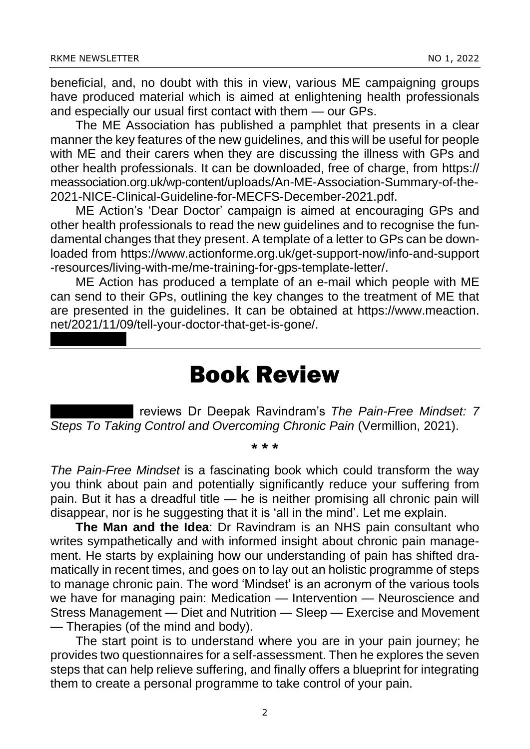beneficial, and, no doubt with this in view, various ME campaigning groups have produced material which is aimed at enlightening health professionals and especially our usual first contact with them — our GPs.

The ME Association has published a pamphlet that presents in a clear manner the key features of the new guidelines, and this will be useful for people with ME and their carers when they are discussing the illness with GPs and other health professionals. It can be downloaded, free of charge, from https:// meassociation.org.uk/wp-content/uploads/An-ME-Association-Summary-of-the-2021-NICE-Clinical-Guideline-for-MECFS-December-2021.pdf.

ME Action's 'Dear Doctor' campaign is aimed at encouraging GPs and other health professionals to read the new guidelines and to recognise the fundamental changes that they present. A template of a letter to GPs can be downloaded from https://www.actionforme.org.uk/get-support-now/info-and-support -resources/living-with-me/me-training-for-gps-template-letter/.

ME Action has produced a template of an e-mail which people with ME can send to their GPs, outlining the key changes to the treatment of ME that are presented in the guidelines. It can be obtained at https://www.meaction. net/2021/11/09/tell-your-doctor-that-get-is-gone/.

#### Book Review

reviews Dr Deepak Ravindram's *The Pain-Free Mindset: 7 Steps To Taking Control and Overcoming Chronic Pain* (Vermillion, 2021).

#### \* \* \*

*The Pain-Free Mindset* is a fascinating book which could transform the way you think about pain and potentially significantly reduce your suffering from pain. But it has a dreadful title — he is neither promising all chronic pain will disappear, nor is he suggesting that it is 'all in the mind'. Let me explain.

**The Man and the Idea**: Dr Ravindram is an NHS pain consultant who writes sympathetically and with informed insight about chronic pain management. He starts by explaining how our understanding of pain has shifted dramatically in recent times, and goes on to lay out an holistic programme of steps to manage chronic pain. The word 'Mindset' is an acronym of the various tools we have for managing pain: Medication — Intervention — Neuroscience and Stress Management — Diet and Nutrition — Sleep — Exercise and Movement — Therapies (of the mind and body).

The start point is to understand where you are in your pain journey; he provides two questionnaires for a self-assessment. Then he explores the seven steps that can help relieve suffering, and finally offers a blueprint for integrating them to create a personal programme to take control of your pain.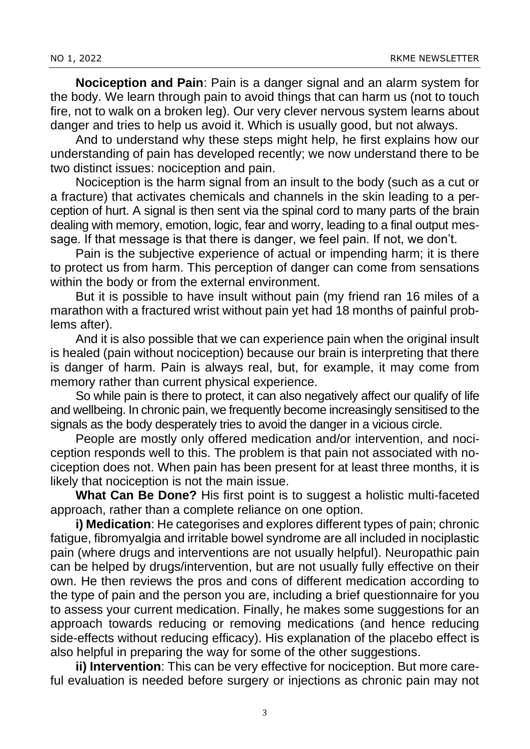**Nociception and Pain**: Pain is a danger signal and an alarm system for the body. We learn through pain to avoid things that can harm us (not to touch fire, not to walk on a broken leg). Our very clever nervous system learns about danger and tries to help us avoid it. Which is usually good, but not always.

And to understand why these steps might help, he first explains how our understanding of pain has developed recently; we now understand there to be two distinct issues: nociception and pain.

Nociception is the harm signal from an insult to the body (such as a cut or a fracture) that activates chemicals and channels in the skin leading to a perception of hurt. A signal is then sent via the spinal cord to many parts of the brain dealing with memory, emotion, logic, fear and worry, leading to a final output message. If that message is that there is danger, we feel pain. If not, we don't.

Pain is the subjective experience of actual or impending harm; it is there to protect us from harm. This perception of danger can come from sensations within the body or from the external environment.

But it is possible to have insult without pain (my friend ran 16 miles of a marathon with a fractured wrist without pain yet had 18 months of painful problems after).

And it is also possible that we can experience pain when the original insult is healed (pain without nociception) because our brain is interpreting that there is danger of harm. Pain is always real, but, for example, it may come from memory rather than current physical experience.

So while pain is there to protect, it can also negatively affect our qualify of life and wellbeing. In chronic pain, we frequently become increasingly sensitised to the signals as the body desperately tries to avoid the danger in a vicious circle.

People are mostly only offered medication and/or intervention, and nociception responds well to this. The problem is that pain not associated with nociception does not. When pain has been present for at least three months, it is likely that nociception is not the main issue.

**What Can Be Done?** His first point is to suggest a holistic multi-faceted approach, rather than a complete reliance on one option.

**i) Medication**: He categorises and explores different types of pain; chronic fatigue, fibromyalgia and irritable bowel syndrome are all included in nociplastic pain (where drugs and interventions are not usually helpful). Neuropathic pain can be helped by drugs/intervention, but are not usually fully effective on their own. He then reviews the pros and cons of different medication according to the type of pain and the person you are, including a brief questionnaire for you to assess your current medication. Finally, he makes some suggestions for an approach towards reducing or removing medications (and hence reducing side-effects without reducing efficacy). His explanation of the placebo effect is also helpful in preparing the way for some of the other suggestions.

**ii) Intervention**: This can be very effective for nociception. But more careful evaluation is needed before surgery or injections as chronic pain may not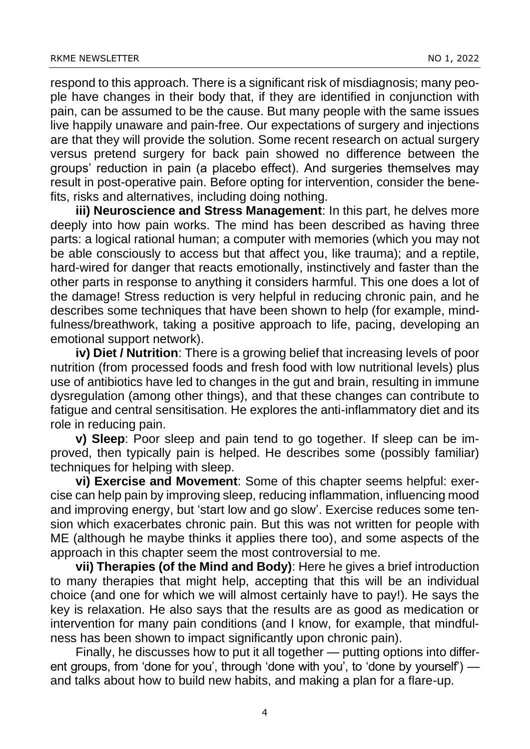respond to this approach. There is a significant risk of misdiagnosis; many people have changes in their body that, if they are identified in conjunction with pain, can be assumed to be the cause. But many people with the same issues live happily unaware and pain-free. Our expectations of surgery and injections are that they will provide the solution. Some recent research on actual surgery versus pretend surgery for back pain showed no difference between the groups' reduction in pain (a placebo effect). And surgeries themselves may result in post-operative pain. Before opting for intervention, consider the benefits, risks and alternatives, including doing nothing.

**iii) Neuroscience and Stress Management**: In this part, he delves more deeply into how pain works. The mind has been described as having three parts: a logical rational human; a computer with memories (which you may not be able consciously to access but that affect you, like trauma); and a reptile, hard-wired for danger that reacts emotionally, instinctively and faster than the other parts in response to anything it considers harmful. This one does a lot of the damage! Stress reduction is very helpful in reducing chronic pain, and he describes some techniques that have been shown to help (for example, mindfulness/breathwork, taking a positive approach to life, pacing, developing an emotional support network).

**iv) Diet / Nutrition**: There is a growing belief that increasing levels of poor nutrition (from processed foods and fresh food with low nutritional levels) plus use of antibiotics have led to changes in the gut and brain, resulting in immune dysregulation (among other things), and that these changes can contribute to fatigue and central sensitisation. He explores the anti-inflammatory diet and its role in reducing pain.

**v) Sleep**: Poor sleep and pain tend to go together. If sleep can be improved, then typically pain is helped. He describes some (possibly familiar) techniques for helping with sleep.

**vi) Exercise and Movement**: Some of this chapter seems helpful: exercise can help pain by improving sleep, reducing inflammation, influencing mood and improving energy, but 'start low and go slow'. Exercise reduces some tension which exacerbates chronic pain. But this was not written for people with ME (although he maybe thinks it applies there too), and some aspects of the approach in this chapter seem the most controversial to me.

**vii) Therapies (of the Mind and Body)**: Here he gives a brief introduction to many therapies that might help, accepting that this will be an individual choice (and one for which we will almost certainly have to pay!). He says the key is relaxation. He also says that the results are as good as medication or intervention for many pain conditions (and I know, for example, that mindfulness has been shown to impact significantly upon chronic pain).

Finally, he discusses how to put it all together — putting options into different groups, from 'done for you', through 'done with you', to 'done by yourself') and talks about how to build new habits, and making a plan for a flare-up.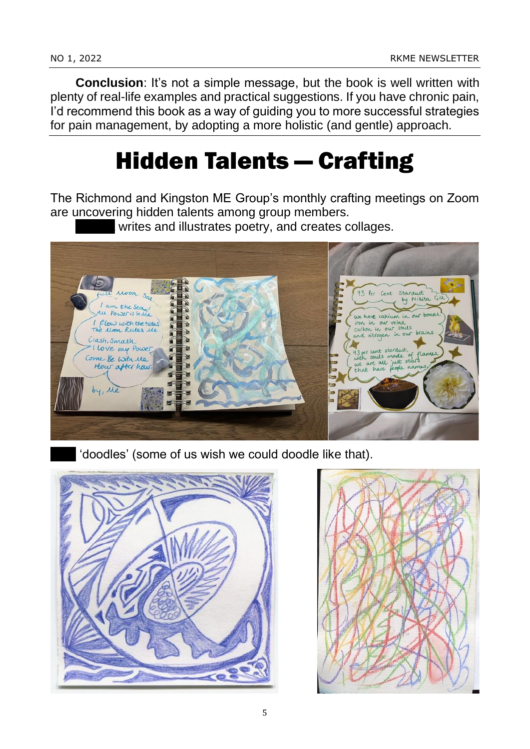**Conclusion:** It's not a simple message, but the book is well written with plenty of real-life examples and practical suggestions. If you have chronic pain, I'd recommend this book as a way of guiding you to more successful strategies for pain management, by adopting a more holistic (and gentle) approach.

# Hidden Talents — Crafting

The Richmond and Kingston ME Group's monthly crafting meetings on Zoom are uncovering hidden talents among group members.

writes and illustrates poetry, and creates collages.



'doodles' (some of us wish we could doodle like that).



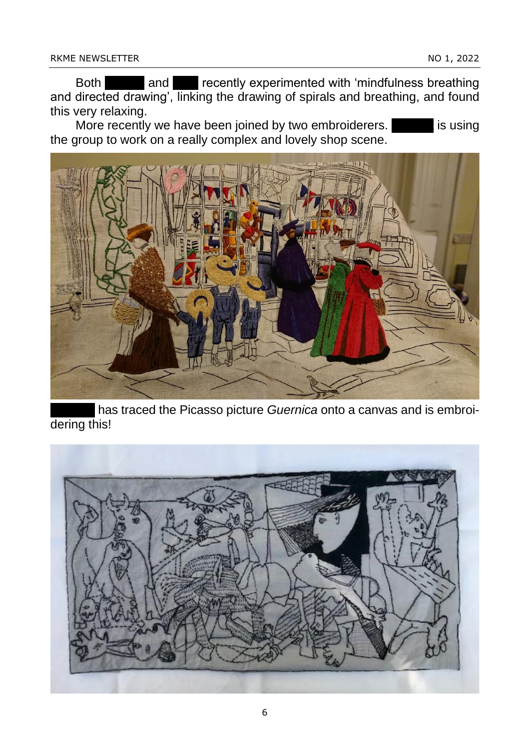Both and Frecently experimented with 'mindfulness breathing and directed drawing', linking the drawing of spirals and breathing, and found this very relaxing.

More recently we have been joined by two embroiderers. **Parallel is using** the group to work on a really complex and lovely shop scene.



has traced the Picasso picture *Guernica* onto a canvas and is embroidering this!

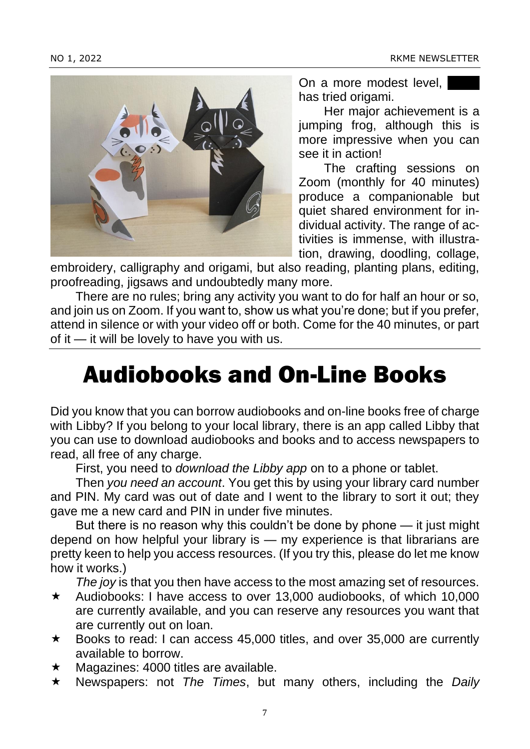

On a more modest level, has tried origami.

Her major achievement is a jumping frog, although this is more impressive when you can see it in action!

The crafting sessions on Zoom (monthly for 40 minutes) produce a companionable but quiet shared environment for individual activity. The range of activities is immense, with illustration, drawing, doodling, collage,

embroidery, calligraphy and origami, but also reading, planting plans, editing, proofreading, jigsaws and undoubtedly many more.

There are no rules; bring any activity you want to do for half an hour or so, and join us on Zoom. If you want to, show us what you're done; but if you prefer, attend in silence or with your video off or both. Come for the 40 minutes, or part of it — it will be lovely to have you with us.

# Audiobooks and On-Line Books

Did you know that you can borrow audiobooks and on-line books free of charge with Libby? If you belong to your local library, there is an app called Libby that you can use to download audiobooks and books and to access newspapers to read, all free of any charge.

First, you need to *download the Libby app* on to a phone or tablet.

Then *you need an account*. You get this by using your library card number and PIN. My card was out of date and I went to the library to sort it out; they gave me a new card and PIN in under five minutes.

But there is no reason why this couldn't be done by phone — it just might depend on how helpful your library is — my experience is that librarians are pretty keen to help you access resources. (If you try this, please do let me know how it works.)

*The joy* is that you then have access to the most amazing set of resources.

- $\star$  Audiobooks: I have access to over 13,000 audiobooks, of which 10,000 are currently available, and you can reserve any resources you want that are currently out on loan.
- \* Books to read: I can access 45,000 titles, and over 35,000 are currently available to borrow.
- $\star$  Magazines: 4000 titles are available.
- Newspapers: not *The Times*, but many others, including the *Daily*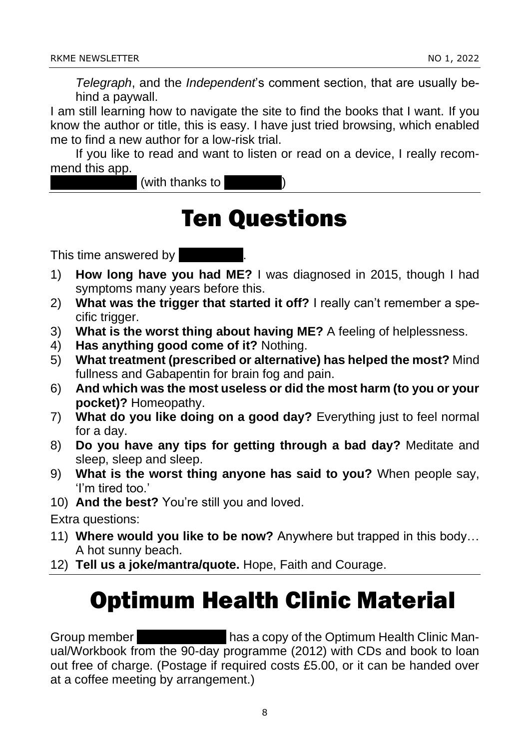*Telegraph*, and the *Independent*'s comment section, that are usually behind a paywall.

I am still learning how to navigate the site to find the books that I want. If you know the author or title, this is easy. I have just tried browsing, which enabled me to find a new author for a low-risk trial.

If you like to read and want to listen or read on a device, I really recommend this app.

(with thanks to

## Ten Questions

This time answered by  $\vert$ 

- 1) **How long have you had ME?** I was diagnosed in 2015, though I had symptoms many years before this.
- 2) **What was the trigger that started it off?** I really can't remember a specific trigger.
- 3) **What is the worst thing about having ME?** A feeling of helplessness.
- 4) **Has anything good come of it?** Nothing.
- 5) **What treatment (prescribed or alternative) has helped the most?** Mind fullness and Gabapentin for brain fog and pain.
- 6) **And which was the most useless or did the most harm (to you or your pocket)?** Homeopathy.
- 7) **What do you like doing on a good day?** Everything just to feel normal for a day.
- 8) **Do you have any tips for getting through a bad day?** Meditate and sleep, sleep and sleep.
- 9) **What is the worst thing anyone has said to you?** When people say, 'I'm tired too.'
- 10) **And the best?** You're still you and loved.

Extra questions:

- 11) **Where would you like to be now?** Anywhere but trapped in this body… A hot sunny beach.
- 12) **Tell us a joke/mantra/quote.** Hope, Faith and Courage.

# Optimum Health Clinic Material

Group member **Anglela Heppen Heppen Health Clinic Man**ual/Workbook from the 90-day programme (2012) with CDs and book to loan out free of charge. (Postage if required costs £5.00, or it can be handed over at a coffee meeting by arrangement.)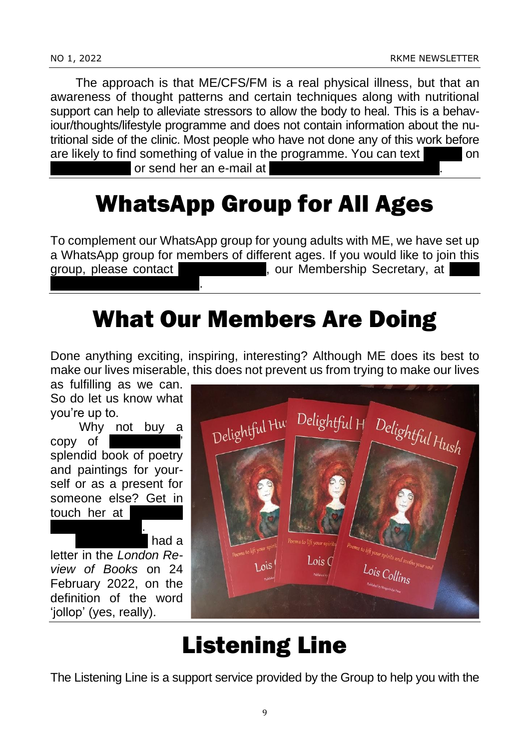The approach is that ME/CFS/FM is a real physical illness, but that an awareness of thought patterns and certain techniques along with nutritional support can help to alleviate stressors to allow the body to heal. This is a behaviour/thoughts/lifestyle programme and does not contain information about the nutritional side of the clinic. Most people who have not done any of this work before are likely to find something of value in the programme. You can text

or send her an e-mail at

# WhatsApp Group for All Ages

To complement our WhatsApp group for young adults with ME, we have set up a WhatsApp group for members of different ages. If you would like to join this group, please contact  $\blacksquare$ , our Membership Secretary, at , our Membership Secretary, at mumford14@hotmail.co.uk.

# What Our Members Are Doing

Done anything exciting, inspiring, interesting? Although ME does its best to make our lives miserable, this does not prevent us from trying to make our lives

as fulfilling as we can. So do let us know what you're up to.

Why not buy a copy of splendid book of poetry and paintings for yourself or as a present for someone else? Get in touch her at @btinternet.com.

had a letter in the *London Review of Books* on 24 February 2022, on the definition of the word 'jollop' (yes, really).



# Listening Line

The Listening Line is a support service provided by the Group to help you with the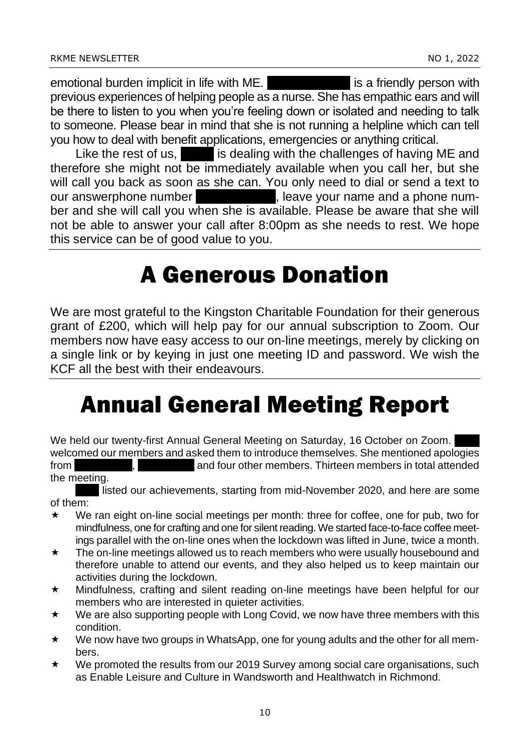emotional burden implicit in life with ME. **Jumping is a friendly person with** previous experiences of helping people as a nurse. She has empathic ears and will be there to listen to you when you're feeling down or isolated and needing to talk to someone. Please bear in mind that she is not running a helpline which can tell you how to deal with benefit applications, emergencies or anything critical.

Like the rest of us,  $\blacksquare$  is dealing with the challenges of having ME and therefore she might not be immediately available when you call her, but she will call you back as soon as she can. You only need to dial or send a text to our answerphone number  $\qquad \qquad$ , leave your name and a phone number and she will call you when she is available. Please be aware that she will not be able to answer your call after 8:00pm as she needs to rest. We hope this service can be of good value to you.

#### A Generous Donation

We are most grateful to the Kingston Charitable Foundation for their generous grant of £200, which will help pay for our annual subscription to Zoom. Our members now have easy access to our on-line meetings, merely by clicking on a single link or by keying in just one meeting ID and password. We wish the KCF all the best with their endeavours.

# Annual General Meeting Report

We held our twenty-first Annual General Meeting on Saturday, 16 October on Zoom. welcomed our members and asked them to introduce themselves. She mentioned apologies from Franch Christeps and four other members. Thirteen members in total attended the meeting.

listed our achievements, starting from mid-November 2020, and here are some of them:

- We ran eight on-line social meetings per month: three for coffee, one for pub, two for mindfulness, one for crafting and one for silent reading. We started face-to-face coffee meetings parallel with the on-line ones when the lockdown was lifted in June, twice a month.
- $\star$  The on-line meetings allowed us to reach members who were usually housebound and therefore unable to attend our events, and they also helped us to keep maintain our activities during the lockdown.
- Mindfulness, crafting and silent reading on-line meetings have been helpful for our members who are interested in quieter activities.
- $\star$  We are also supporting people with Long Covid, we now have three members with this condition.
- \* We now have two groups in WhatsApp, one for young adults and the other for all members.
- $\star$  We promoted the results from our 2019 Survey among social care organisations, such as Enable Leisure and Culture in Wandsworth and Healthwatch in Richmond.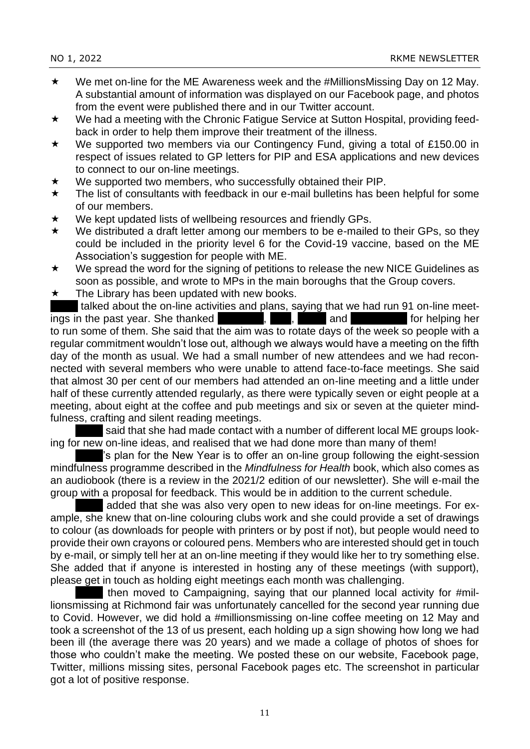- $\star$  We met on-line for the ME Awareness week and the #MillionsMissing Day on 12 May. A substantial amount of information was displayed on our Facebook page, and photos from the event were published there and in our Twitter account.
- \* We had a meeting with the Chronic Fatigue Service at Sutton Hospital, providing feedback in order to help them improve their treatment of the illness.
- ★ We supported two members via our Contingency Fund, giving a total of £150.00 in respect of issues related to GP letters for PIP and ESA applications and new devices to connect to our on-line meetings.
- $\star$  We supported two members, who successfully obtained their PIP.
- $\star$  The list of consultants with feedback in our e-mail bulletins has been helpful for some of our members.
- $\star$  We kept updated lists of wellbeing resources and friendly GPs.
- $\star$  We distributed a draft letter among our members to be e-mailed to their GPs, so they could be included in the priority level 6 for the Covid-19 vaccine, based on the ME Association's suggestion for people with ME.
- $\star$  We spread the word for the signing of petitions to release the new NICE Guidelines as soon as possible, and wrote to MPs in the main boroughs that the Group covers.
- $\star$  The Library has been updated with new books.

talked about the on-line activities and plans, saying that we had run 91 on-line meetings in the past year. She thanked Fernando, Paul, Paul, Paul, Paul, Paul, Paul, Paul, Paul, Paul, Paul, Paul, to run some of them. She said that the aim was to rotate days of the week so people with a regular commitment wouldn't lose out, although we always would have a meeting on the fifth day of the month as usual. We had a small number of new attendees and we had reconnected with several members who were unable to attend face-to-face meetings. She said that almost 30 per cent of our members had attended an on-line meeting and a little under half of these currently attended regularly, as there were typically seven or eight people at a meeting, about eight at the coffee and pub meetings and six or seven at the quieter mindfulness, crafting and silent reading meetings.

said that she had made contact with a number of different local ME groups looking for new on-line ideas, and realised that we had done more than many of them!

's plan for the New Year is to offer an on-line group following the eight-session mindfulness programme described in the *Mindfulness for Health* book, which also comes as an audiobook (there is a review in the 2021/2 edition of our newsletter). She will e-mail the group with a proposal for feedback. This would be in addition to the current schedule.

added that she was also very open to new ideas for on-line meetings. For example, she knew that on-line colouring clubs work and she could provide a set of drawings to colour (as downloads for people with printers or by post if not), but people would need to provide their own crayons or coloured pens. Members who are interested should get in touch by e-mail, or simply tell her at an on-line meeting if they would like her to try something else. She added that if anyone is interested in hosting any of these meetings (with support), please get in touch as holding eight meetings each month was challenging.

then moved to Campaigning, saying that our planned local activity for #millionsmissing at Richmond fair was unfortunately cancelled for the second year running due to Covid. However, we did hold a #millionsmissing on-line coffee meeting on 12 May and took a screenshot of the 13 of us present, each holding up a sign showing how long we had been ill (the average there was 20 years) and we made a collage of photos of shoes for those who couldn't make the meeting. We posted these on our website, Facebook page, Twitter, millions missing sites, personal Facebook pages etc. The screenshot in particular got a lot of positive response.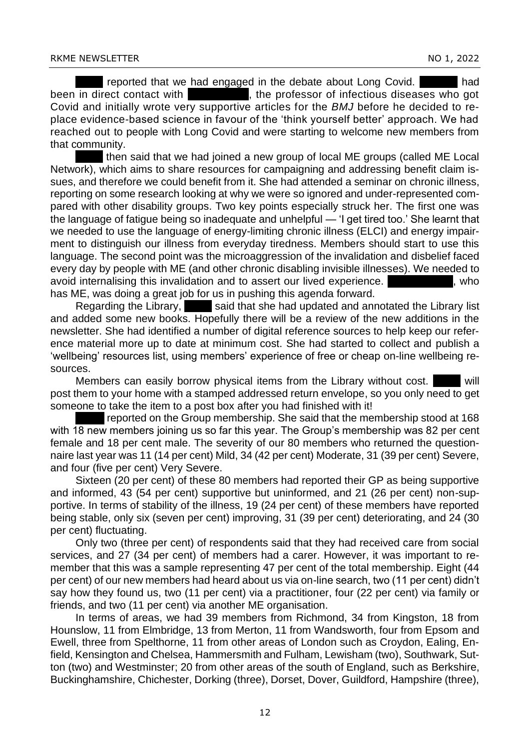reported that we had engaged in the debate about Long Covid. The reported that we had engaged in the debate about Long Covid. Heather had , the professor of infectious diseases who got Covid and initially wrote very supportive articles for the *BMJ* before he decided to replace evidence-based science in favour of the 'think yourself better' approach. We had reached out to people with Long Covid and were starting to welcome new members from that community.

then said that we had joined a new group of local ME groups (called ME Local Network), which aims to share resources for campaigning and addressing benefit claim issues, and therefore we could benefit from it. She had attended a seminar on chronic illness, reporting on some research looking at why we were so ignored and under-represented compared with other disability groups. Two key points especially struck her. The first one was the language of fatigue being so inadequate and unhelpful — 'I get tired too.' She learnt that we needed to use the language of energy-limiting chronic illness (ELCI) and energy impairment to distinguish our illness from everyday tiredness. Members should start to use this language. The second point was the microaggression of the invalidation and disbelief faced every day by people with ME (and other chronic disabling invisible illnesses). We needed to avoid internalising this invalidation and to assert our lived experience. The Male Hale, who has ME, was doing a great job for us in pushing this agenda forward.

Regarding the Library, said that she had updated and annotated the Library list and added some new books. Hopefully there will be a review of the new additions in the newsletter. She had identified a number of digital reference sources to help keep our reference material more up to date at minimum cost. She had started to collect and publish a 'wellbeing' resources list, using members' experience of free or cheap on-line wellbeing resources.

Members can easily borrow physical items from the Library without cost. post them to your home with a stamped addressed return envelope, so you only need to get someone to take the item to a post box after you had finished with it!

reported on the Group membership. She said that the membership stood at 168 with 18 new members joining us so far this year. The Group's membership was 82 per cent female and 18 per cent male. The severity of our 80 members who returned the questionnaire last year was 11 (14 per cent) Mild, 34 (42 per cent) Moderate, 31 (39 per cent) Severe, and four (five per cent) Very Severe.

Sixteen (20 per cent) of these 80 members had reported their GP as being supportive and informed, 43 (54 per cent) supportive but uninformed, and 21 (26 per cent) non-supportive. In terms of stability of the illness, 19 (24 per cent) of these members have reported being stable, only six (seven per cent) improving, 31 (39 per cent) deteriorating, and 24 (30 per cent) fluctuating.

Only two (three per cent) of respondents said that they had received care from social services, and 27 (34 per cent) of members had a carer. However, it was important to remember that this was a sample representing 47 per cent of the total membership. Eight (44 per cent) of our new members had heard about us via on-line search, two (11 per cent) didn't say how they found us, two (11 per cent) via a practitioner, four (22 per cent) via family or friends, and two (11 per cent) via another ME organisation.

In terms of areas, we had 39 members from Richmond, 34 from Kingston, 18 from Hounslow, 11 from Elmbridge, 13 from Merton, 11 from Wandsworth, four from Epsom and Ewell, three from Spelthorne, 11 from other areas of London such as Croydon, Ealing, Enfield, Kensington and Chelsea, Hammersmith and Fulham, Lewisham (two), Southwark, Sutton (two) and Westminster; 20 from other areas of the south of England, such as Berkshire, Buckinghamshire, Chichester, Dorking (three), Dorset, Dover, Guildford, Hampshire (three),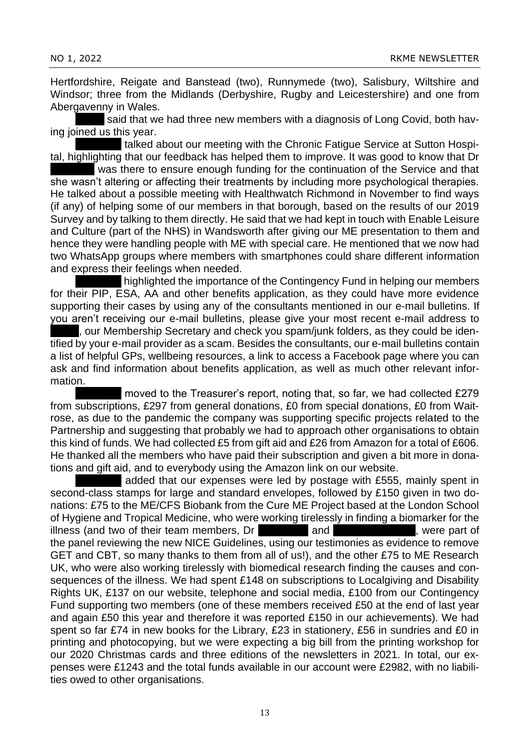Hertfordshire, Reigate and Banstead (two), Runnymede (two), Salisbury, Wiltshire and Windsor; three from the Midlands (Derbyshire, Rugby and Leicestershire) and one from Abergavenny in Wales.

said that we had three new members with a diagnosis of Long Covid, both having joined us this year.

talked about our meeting with the Chronic Fatigue Service at Sutton Hospital, highlighting that our feedback has helped them to improve. It was good to know that Dr

was there to ensure enough funding for the continuation of the Service and that she wasn't altering or affecting their treatments by including more psychological therapies. He talked about a possible meeting with Healthwatch Richmond in November to find ways (if any) of helping some of our members in that borough, based on the results of our 2019 Survey and by talking to them directly. He said that we had kept in touch with Enable Leisure and Culture (part of the NHS) in Wandsworth after giving our ME presentation to them and hence they were handling people with ME with special care. He mentioned that we now had two WhatsApp groups where members with smartphones could share different information and express their feelings when needed.

highlighted the importance of the Contingency Fund in helping our members for their PIP, ESA, AA and other benefits application, as they could have more evidence supporting their cases by using any of the consultants mentioned in our e-mail bulletins. If you aren't receiving our e-mail bulletins, please give your most recent e-mail address to

, our Membership Secretary and check you spam/junk folders, as they could be identified by your e-mail provider as a scam. Besides the consultants, our e-mail bulletins contain a list of helpful GPs, wellbeing resources, a link to access a Facebook page where you can ask and find information about benefits application, as well as much other relevant information.

moved to the Treasurer's report, noting that, so far, we had collected £279 from subscriptions, £297 from general donations, £0 from special donations, £0 from Waitrose, as due to the pandemic the company was supporting specific projects related to the Partnership and suggesting that probably we had to approach other organisations to obtain this kind of funds. We had collected £5 from gift aid and £26 from Amazon for a total of £606. He thanked all the members who have paid their subscription and given a bit more in donations and gift aid, and to everybody using the Amazon link on our website.

added that our expenses were led by postage with £555, mainly spent in second-class stamps for large and standard envelopes, followed by £150 given in two donations: £75 to the ME/CFS Biobank from the Cure ME Project based at the London School of Hygiene and Tropical Medicine, who were working tirelessly in finding a biomarker for the illness (and two of their team members, Dr Luiz and Luiz Nacul and Luiz Nacul and Caroline Kingdon, were part of the panel reviewing the new NICE Guidelines, using our testimonies as evidence to remove GET and CBT, so many thanks to them from all of us!), and the other £75 to ME Research UK, who were also working tirelessly with biomedical research finding the causes and consequences of the illness. We had spent £148 on subscriptions to Localgiving and Disability Rights UK, £137 on our website, telephone and social media, £100 from our Contingency Fund supporting two members (one of these members received £50 at the end of last year and again £50 this year and therefore it was reported £150 in our achievements). We had spent so far £74 in new books for the Library, £23 in stationery, £56 in sundries and £0 in printing and photocopying, but we were expecting a big bill from the printing workshop for our 2020 Christmas cards and three editions of the newsletters in 2021. In total, our expenses were £1243 and the total funds available in our account were £2982, with no liabilities owed to other organisations.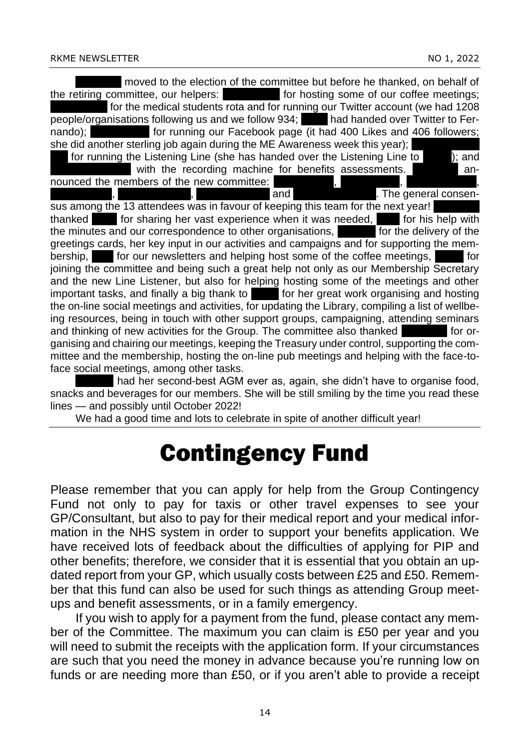Fernando moved to the election of the committee but before he thanked, on behalf of the retiring committee, our helpers: for hosting some of our coffee meetings; for the medical students rota and for running our Twitter account (we had 1208) people/organisations following us and we follow 934; Linda handed over Twitter to Fernando); Fran Frank Christopher Christopher Christopher Christopher Facebook page (it had 400 Likes and 406 followers; she did another sterling job again during the ME Awareness week this year); for running the Listening Line (she has handed over the Listening Line to  $\vert$ ); and with the recording machine for benefits assessments. Ferricannounced the members of the new committee: eraul Flexen Abdelli, The general consensus among the 13 attendees was in favour of keeping this team for the next year! thanked **Anna for sharing her vast experience when it was needed, John for his help with** the minutes and our correspondence to other organisations,  $\blacksquare$  for the delivery of the greetings cards, her key input in our activities and campaigns and for supporting the membership, Paul for our newsletters and helping host some of the coffee meetings,  $\blacksquare$  for joining the committee and being such a great help not only as our Membership Secretary and the new Line Listener, but also for helping hosting some of the meetings and other important tasks, and finally a big thank to **Laura for her great work organising and hosting** the on-line social meetings and activities, for updating the Library, compiling a list of wellbeing resources, being in touch with other support groups, campaigning, attending seminars and thinking of new activities for the Group. The committee also thanked Ferraries for organising and chairing our meetings, keeping the Treasury under control, supporting the committee and the membership, hosting the on-line pub meetings and helping with the face-toface social meetings, among other tasks.

had her second-best AGM ever as, again, she didn't have to organise food, snacks and beverages for our members. She will be still smiling by the time you read these lines — and possibly until October 2022!

We had a good time and lots to celebrate in spite of another difficult year!

# Contingency Fund

Please remember that you can apply for help from the Group Contingency Fund not only to pay for taxis or other travel expenses to see your GP/Consultant, but also to pay for their medical report and your medical information in the NHS system in order to support your benefits application. We have received lots of feedback about the difficulties of applying for PIP and other benefits; therefore, we consider that it is essential that you obtain an updated report from your GP, which usually costs between £25 and £50. Remember that this fund can also be used for such things as attending Group meetups and benefit assessments, or in a family emergency.

If you wish to apply for a payment from the fund, please contact any member of the Committee. The maximum you can claim is £50 per year and you will need to submit the receipts with the application form. If your circumstances are such that you need the money in advance because you're running low on funds or are needing more than £50, or if you aren't able to provide a receipt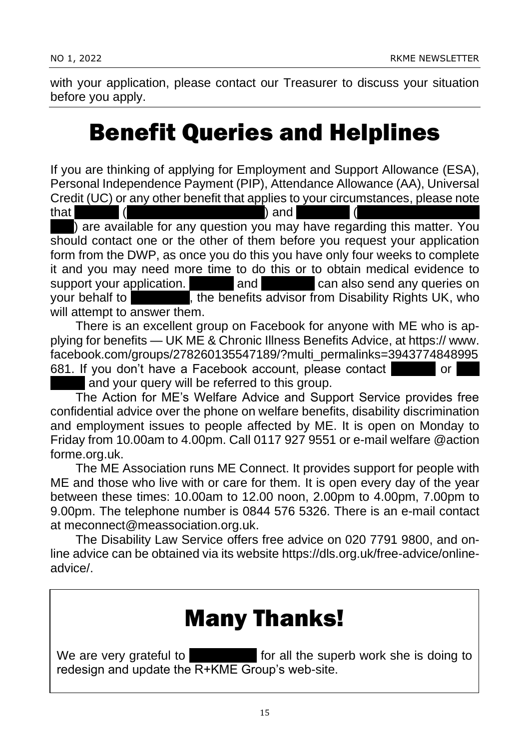with your application, please contact our Treasurer to discuss your situation before you apply.

## Benefit Queries and Helplines

If you are thinking of applying for Employment and Support Allowance (ESA), Personal Independence Payment (PIP), Attendance Allowance (AA), Universal Credit (UC) or any other benefit that applies to your circumstances, please note

that Heather (a.abdelli@btinternet.com) and Fernando (fercampo25@hotmail. ) are available for any question you may have regarding this matter. You should contact one or the other of them before you request your application form from the DWP, as once you do this you have only four weeks to complete it and you may need more time to do this or to obtain medical evidence to support your application. The and Fernando can also send any queries on your behalf to Ken Butler, the benefits advisor from Disability Rights UK, who will attempt to answer them.

There is an excellent group on Facebook for anyone with ME who is applying for benefits — UK ME & Chronic Illness Benefits Advice, at https:// www. facebook.com/groups/278260135547189/?multi\_permalinks=3943774848995 681. If you don't have a Facebook account, please contact

and your query will be referred to this group.

The Action for ME's Welfare Advice and Support Service provides free confidential advice over the phone on welfare benefits, disability discrimination and employment issues to people affected by ME. It is open on Monday to Friday from 10.00am to 4.00pm. Call 0117 927 9551 or e-mail welfare @action forme.org.uk.

The ME Association runs ME Connect. It provides support for people with ME and those who live with or care for them. It is open every day of the year between these times: 10.00am to 12.00 noon, 2.00pm to 4.00pm, 7.00pm to 9.00pm. The telephone number is 0844 576 5326. There is an e-mail contact at meconnect@meassociation.org.uk.

The Disability Law Service offers free advice on 020 7791 9800, and online advice can be obtained via its website https://dls.org.uk/free-advice/onlineadvice/.

#### Many Thanks!

We are very grateful to  $\blacksquare$  for all the superb work she is doing to redesign and update the R+KME Group's web-site.